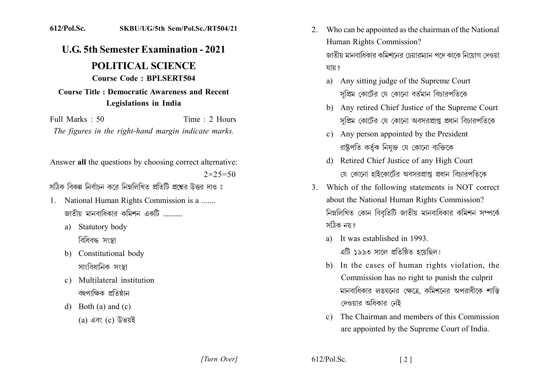## 612/Pol.Sc. SKBU/UG/5th Sem/Pol.Sc./RT504/21

## **U.G. 5th Semester Examination - 2021**

## **POLITICAL SCIENCE Course Code: BPLSERT504**

## Course Title : Democratic Awareness and Recent **Legislations in India**

Full Marks  $\cdot$  50 Time : 2 Hours The figures in the right-hand margin indicate marks.

Answer all the questions by choosing correct alternative:  $2 \times 25 = 50$ 

সঠিক বিকল্প নির্বাচন করে নিম্নলিখিত প্রতিটি প্রশ্নের উত্তর দাও ঃ

- 1. National Human Rights Commission is a ....... জাতীয় মানবাধিকার কমিশন একটি ...........
	- a) Statutory body বিধিবদ্ধ সংস্থা
	- b) Constitutional body সাংবিধানিক সংস্থা
	- c) Multilateral institution বহুপাক্ষিক প্রতিষ্ঠান
	- d) Both (a) and (c) (a) এবং (c) উভয়ই

Who can be appointed as the chairman of the National 2. Human Rights Commission?

জাতীয় মানবাধিকার কমিশনের চেয়ারম্যান পদে কাকে নিয়োগ দেওয়া যায় ?

- a) Any sitting judge of the Supreme Court সপ্রিম কোর্টের যে কোনো বর্তমান বিচারপতিকে
- b) Any retired Chief Justice of the Supreme Court সপ্রিম কোর্টের যে কোনো অবসরপ্রাপ্ত প্রধান বিচারপতিকে
- c) Any person appointed by the President রাষ্টপতি কর্তক নিযক্ত যে কোনো ব্যক্তিকে
- d) Retired Chief Justice of any High Court যে কোনো হাইকোর্টের অবসরপ্রাপ্ত প্রধান বিচারপতিকে
- 3. Which of the following statements is NOT correct about the National Human Rights Commission? নিম্নলিখিত কোন বিবৃতিটি জাতীয় মানবাধিকার কমিশন সম্পর্কে সঠিক নয়?
	- a) It was established in 1993. এটি ১৯৯৩ সালে প্রতিষ্ঠিত হয়েছিল।
	- b) In the cases of human rights violation, the Commission has no right to punish the culprit মানবাধিকার লঙঘনের ক্ষেত্রে, কমিশনের অপরাধীকে শাস্তি দেওয়ার অধিকার নেই
	- The Chairman and members of this Commission  $c)$ are appointed by the Supreme Court of India.

[Turn Over]

 $612/P<sub>o</sub>l<sub>se</sub>$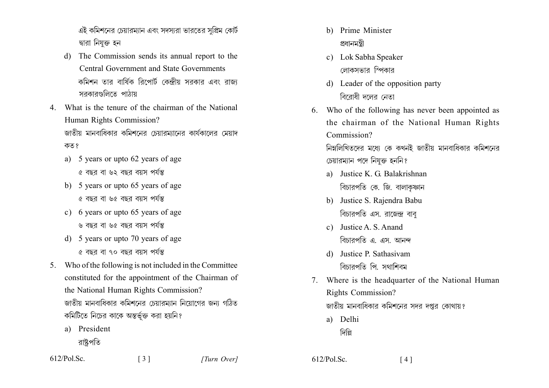এই কমিশনের চেয়ারম্যান এবং সদস্যরা ভারতের সুপ্রিম কোর্ট দ্বারা নিযুক্ত হন

- The Commission sends its annual report to the  $\mathbf{d}$ **Central Government and State Governments** কমিশন তার বার্ষিক রিপোর্ট কেন্দ্রীয় সরকার এবং রাজ্য সরকারগুলিতে পাঠায়
- 4 What is the tenure of the chairman of the National Human Rights Commission? জাতীয় মানবাধিকার কমিশনের চেয়ারম্যানের কার্যকালের মেয়াদ কত ?
	- a) 5 years or upto 62 years of age ৫ বছর বা ৬২ বছর বয়স পর্যন্ত
	- b) 5 years or upto 65 years of age ৫ বছর বা ৬৫ বছর বয়স পর্যন্ত
	- c) 6 years or upto 65 years of age ৬ বছর বা ৬৫ বছর বয়স পর্যন্ত
	- d) 5 years or upto 70 years of age ৫ বছর বা ৭০ বছর বয়স পর্যন্ত
- 5. Who of the following is not included in the Committee constituted for the appointment of the Chairman of the National Human Rights Commission? জাতীয় মানবাধিকার কমিশনের চেয়ারমাান নিয়োগের জন্য গঠিত কমিটিতে নিচের কাকে অন্তর্ভুক্ত করা হয়নি?

 $\begin{bmatrix} 3 \end{bmatrix}$ 

a) President

রাষ্টপতি

- b) Prime Minister প্ৰধানমন্ত্ৰী
- c) Lok Sabha Speaker লোকসভার স্পিকার
- d) Leader of the opposition party বিবোধী দলেব নেতা
- 6. Who of the following has never been appointed as the chairman of the National Human Rights Commission?

নিম্নলিখিতদের মধ্যে কে কখনই জাতীয় মানবাধিকার কমিশনের চেয়ারম্যান পদে নিযুক্ত হননি?

- a) Justice K G Balakrishnan বিচারপতি কে. জি. বালাকফান
- b) Justice S. Rajendra Babu বিচারপতি এস. রাজেন্দ্র বাব
- c) Justice A. S. Anand বিচারপতি এ. এস. আনন্দ
- d) Justice P Sathasiyam বিচারপতি পি. সথাশিবম
- Where is the headquarter of the National Human 7. Rights Commission? জাতীয় মানবাধিকার কমিশনের সদর দপ্তর কোথায়?
	- a) Delhi
		- দিল্লি
- $612/Pol$ . Sc.  $[4]$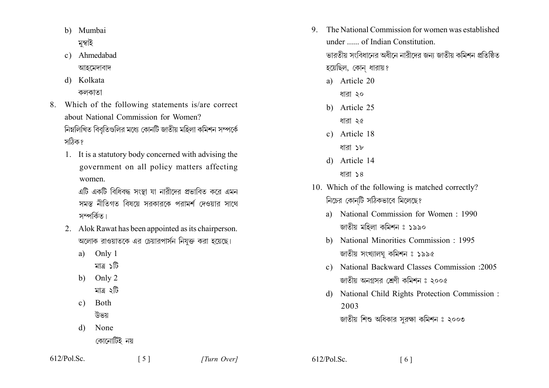- b) Mumbai মুম্বাই
- c) Ahmedabad আহমেদাবাদ
- d) Kolkata কলকাতা
- 8. Which of the following statements is/are correct about National Commission for Women? নিম্নলিখিত বিবৃতিগুলির মধ্যে কোনটি জাতীয় মহিলা কমিশন সম্পর্কে সঠিক?
	- 1. It is a statutory body concerned with advising the government on all policy matters affecting women.

এটি একটি বিধিবদ্ধ সংস্থা যা নারীদের প্রভাবিত করে এমন সমস্ত নীতিগত বিষয়ে সরকারকে পরামর্শ দেওয়ার সাথে সম্পৰ্কিত।

- 2. Alok Rawat has been appointed as its chairperson. অলোক রাওয়াতকে এর চেয়ারপার্সন নিযুক্ত করা হয়েছে।
	- Only 1 a)
		- মাত্ৰ ১টি
	- b) Only  $2$ 
		- মাত্ৰ ২টি
	- $c)$ **Both** উভয
	- None d)
		- কোনোটিই নয়
- The National Commission for women was established  $\mathbf{Q}$ under ...... of Indian Constitution. ভারতীয় সংবিধানের অধীনে নারীদের জন্য জাতীয় কমিশন প্রতিষ্ঠিত হয়েছিল, কোন ধারায়?
	- a) Article 20
		- ধারা ২০
	- b) Article 25
		- ধারা ২৫
	- c) Article 18
		- ধারা ১৮
	- d) Article 14 ধারা ১৪
- 10. Which of the following is matched correctly? নিচের কোনটি সঠিকভাবে মিলেছে?
	- a) National Commission for Women: 1990 জাতীয় মহিলা কমিশন ঃ ১৯৯০
	- b) National Minorities Commission 1995 জাতীয় সংখ্যালঘু কমিশন ঃ ১৯৯৫
	- c) National Backward Classes Commission :2005 জাতীয় অনগ্ৰসর শ্রেণী কমিশন ঃ ২০০৫
	- d) National Child Rights Protection Commission : 2003 জাতীয় শিশু অধিকার সুরক্ষা কমিশন ঃ ২০০৩

 $612/Pol$ . Sc.

 $612/Pol$ . Sc.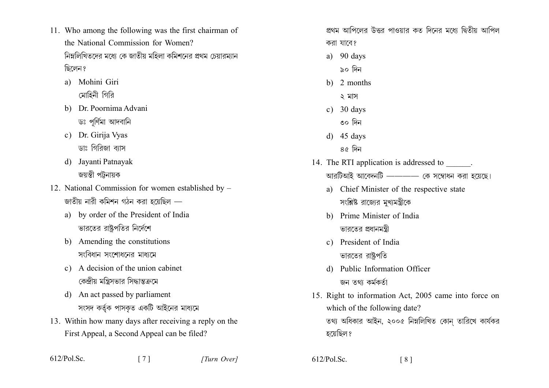- 11. Who among the following was the first chairman of the National Commission for Women? নিম্নলিখিতদের মধ্যে কে জাতীয় মহিলা কমিশনের প্রথম চেয়ারম্যান ছিলেন ?
	- a) Mohini Giri মোহিনী গিরি
	- b) Dr. Poornima Advani ডঃ পর্ণিমা আদবানি
	- c) Dr. Girija Vyas ডাঃ গিবিজা ব্যাস
	- d) Javanti Patnayak জয়ন্তী পট্টনায়ক
- 12. National Commission for women established by জাতীয় নারী কমিশন গঠন করা হয়েছিল
	- a) by order of the President of India ভারতের রাষ্ট্রপতির নির্দেশে
	- b) Amending the constitutions সংবিধান সংশোধনের মাধ্যমে
	- c) A decision of the union cabinet কেন্দ্রীয় মন্ত্রিসভার সিদ্ধান্তক্রমে
	- d) An act passed by parliament সংসদ কর্তৃক পাসকৃত একটি আইনের মাধ্যমে
- 13. Within how many days after receiving a reply on the First Appeal, a Second Appeal can be filed?

 $\lceil 7 \rceil$ 

প্রথম আপিলের উত্তর পাওয়ার কত দিনের মধ্যে দ্বিতীয় আপিল

- করা যাবে?
- a)  $90$  days
	- ৯০ দিন
- b) 2 months
	- ২ মাস
- c)  $30 \text{ days}$ 
	- ৩০ দিন
- $d)$  45 days
	- $86 \text{ m}$
- 14. The RTI application is addressed to ... আরটিআই আবেদনটি ———— কে সম্বোধন করা হয়েছে।
	- a) Chief Minister of the respective state সংশ্লিষ্ট রাজ্যের মখ্যমন্ত্রীকে
	- b) Prime Minister of India ভারতের প্রধানমন্ত্রী
	- c) President of India ভারতের রাষ্ট্রপতি
	- d) Public Information Officer জন তথা কৰ্মকৰ্তা
- 15. Right to information Act, 2005 came into force on which of the following date? তথ্য অধিকার আইন, ২০০৫ নিম্নলিখিত কোন তারিখে কার্যকর হয়েছিল ?

 $\lceil 8 \rceil$ 

 $612/P<sub>o</sub>l<sub>o</sub>Sc$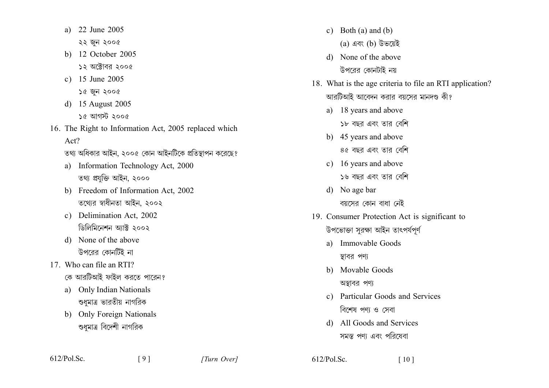- 22 June 2005 a) ২২ জুন ২০০৫
- b) 12 October 2005  $55$  অক্টোবর ২০০৫
- c)  $15 \text{ June } 2005$ 
	- ১৫ জন ২০০৫
- d) 15 August 2005  $\frac{1}{6}$  আগস্ট ২০০৫
- 16. The Right to Information Act, 2005 replaced which  $Act?$ 
	- তথ্য অধিকার আইন, ২০০৫ কোন আইনটিকে প্রতিস্থাপন করেছে?
	- a) Information Technology Act, 2000 তথ্য প্ৰযুক্তি আইন, ২০০০
	- b) Freedom of Information Act, 2002 তথ্যের স্বাধীনতা আইন, ২০০২
	- c) Delimination Act, 2002 ডিলিমিনেশন আক্ট ২০০২
	- d) None of the above উপরের কোনটিই না
- 17 Who can file an RTI? কে আরটিআই ফাইল করতে পারেন?
	- a) Only Indian Nationals শুধুমাত্র ভারতীয় নাগরিক
	- b) Only Foreign Nationals শুধুমাত্র বিদেশী নাগরিক
- c) Both (a) and (b)
	- (a) এবং (b) উভয়েই
- d) None of the above উপরের কোনটাই নয়
- 18. What is the age criteria to file an RTI application? আরটিআই আবেদন করার বয়সের মানদণ্ড কী?
	- a) 18 years and above
		- ১৮ বছর এবং তার বেশি
	- b) 45 years and above ৪৫ বছর এবং তার বেশি
	- c) 16 years and above ১৬ বছর এবং তার বেশি
	- d) No age bar বয়সের কোন বাধা নেই
- 19. Consumer Protection Act is significant to উপভোক্তা সুরক্ষা আইন তাৎপর্যপূর্ণ
	- a) Immovable Goods স্থাবর পণ্য
	- b) Movable Goods
		- অস্তাবর পণ্য
	- c) Particular Goods and Services বিশেষ পণ্য ও সেবা
	- d) All Goods and Services সমস্ত পণা এবং পরিষেবা

 $[9]$ 

 $612/Pol$ . Sc.  $\lceil 10 \rceil$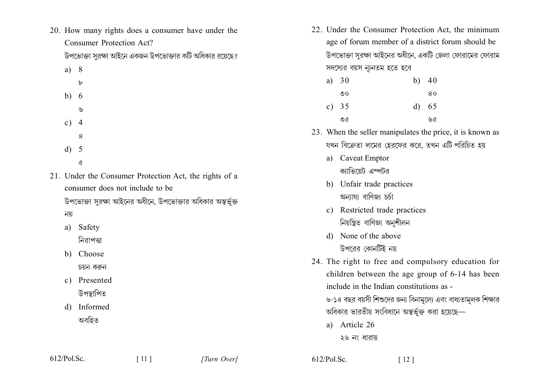20. How many rights does a consumer have under the Consumer Protection Act?

উপভোক্তা সরক্ষা আইনে একজন উপভোক্তার কটি অধিকার রয়েছে?

- $a) 8$  $\mathbf{b}$ 
	-
- $b) 6$ 
	- $\mathcal{Y}$
- $c) 4$
- 8
- $d) 5$ 
	- $\alpha$
- 21. Under the Consumer Protection Act, the rights of a consumer does not include to be

উপভোক্তা সরক্ষা আইনের অধীনে, উপভোক্তার অধিকার অন্তর্ভুক্ত নয়

Safety  $a)$ 

নিরাপত্তা

b) Choose

চয়ন করুন

- c) Presented উপস্থাপিত
- d) Informed অবহিত

22. Under the Consumer Protection Act, the minimum age of forum member of a district forum should be উপভোক্তা সরক্ষা আইনের অধীনে, একটি জেলা ফোরামের ফোরাম সদস্যের বয়স ন্যূনতম হতে হবে

| a) $30$ | b) $40$ |
|---------|---------|
| ৩০      | 80      |
| c) $35$ | d) 65   |
| ৩৫      | ৬৫      |

- 23. When the seller manipulates the price, it is known as যখন বিক্রেতা দামের হেরফের করে, তখন এটি পরিচিত হয়
	- a) Caveat Emptor ক্যাভিযেট এম্পটব
	- b) Unfair trade practices অন্যায্য বাণিজ্য চৰ্চা
	- c) Restricted trade practices নিয়ন্ত্ৰিত বাণিজ্য অনুশীলন
	- d) None of the above উপরের কোনটিই নয়
- 24. The right to free and compulsory education for children between the age group of 6-14 has been include in the Indian constitutions as -

৬-১৪ বছর বয়সী শিশুদের জন্য বিনামল্যে এবং বাধ্যতামলক শিক্ষার অধিকার ভারতীয় সংবিধানে অন্তর্ভুক্ত করা হয়েছে—

a) Article 26 ২৬ নং ধারায়

| $612/Pol$ . Sc. |
|-----------------|
|-----------------|

 $612/Pol$ . Sc.